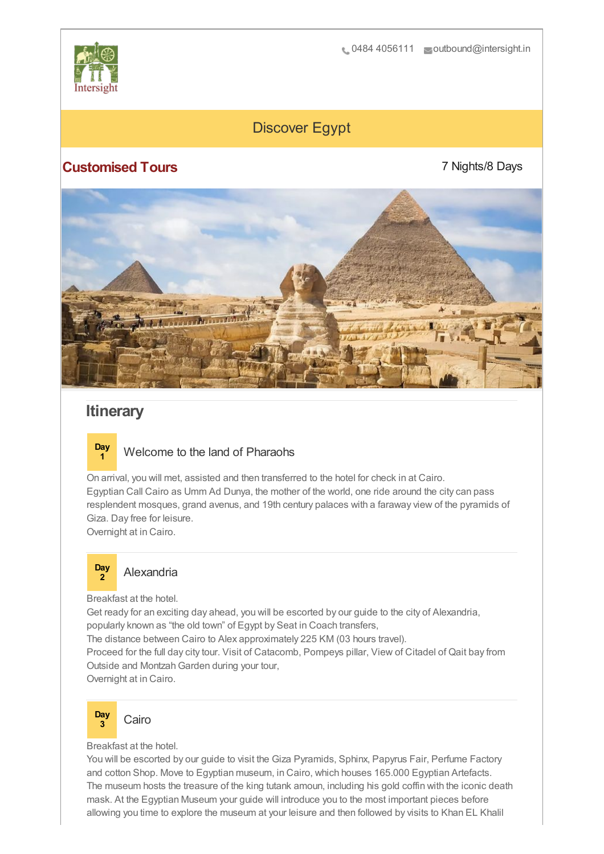

# Discover Egypt

## **Customised Tours**

7 Nights/8 Days



# **Itinerary**

![](_page_0_Picture_7.jpeg)

On arrival, you will met, assisted and then transferred to the hotel for check in at Cairo. Egyptian Call Cairo as Umm Ad Dunya, the mother of the world, one ride around the city can pass resplendent mosques, grand avenus, and 19th century palaces with a faraway view of the pyramids of Giza. Day free for leisure.

Overnight at in Cairo.

### **Day <sup>2</sup>** Alexandria

Breakfast at the hotel.

Get ready for an exciting day ahead, you will be escorted by our guide to the city of Alexandria, popularly known as "the old town" of Egypt by Seat in Coach transfers,

The distance between Cairo to Alex approximately 225 KM (03 hours travel). Proceed for the full day city tour. Visit of Catacomb, Pompeys pillar, View of Citadel of Qait bay from Outside and Montzah Garden during your tour,

Overnight at in Cairo.

![](_page_0_Picture_15.jpeg)

Breakfast at the hotel.

You will be escorted by our guide to visit the Giza Pyramids, Sphinx, Papyrus Fair, Perfume Factory and cotton Shop. Move to Egyptian museum, in Cairo, which houses 165.000 Egyptian Artefacts. The museum hosts the treasure of the king tutank amoun, including his gold coffin with the iconic death mask. At the Egyptian Museum your guide will introduce you to the most important pieces before allowing you time to explore the museum at your leisure and then followed by visits to Khan EL Khalil